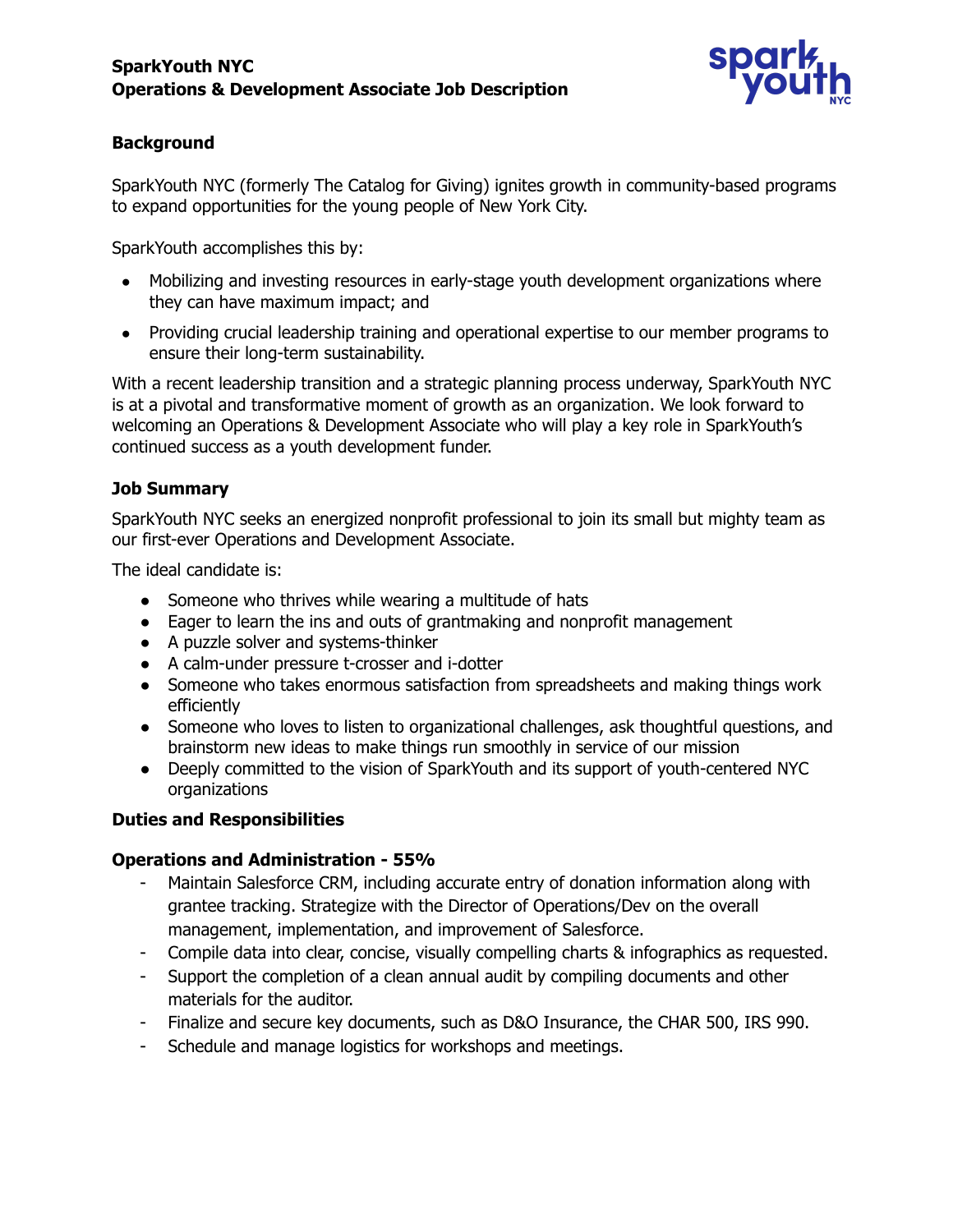

### **Background**

SparkYouth NYC (formerly The Catalog for Giving) ignites growth in community-based programs to expand opportunities for the young people of New York City.

SparkYouth accomplishes this by:

- Mobilizing and investing resources in early-stage youth development organizations where they can have maximum impact; and
- Providing crucial leadership training and operational expertise to our member programs to ensure their long-term sustainability.

With a recent leadership transition and a strategic planning process underway, SparkYouth NYC is at a pivotal and transformative moment of growth as an organization. We look forward to welcoming an Operations & Development Associate who will play a key role in SparkYouth's continued success as a youth development funder.

### **Job Summary**

SparkYouth NYC seeks an energized nonprofit professional to join its small but mighty team as our first-ever Operations and Development Associate.

The ideal candidate is:

- Someone who thrives while wearing a multitude of hats
- Eager to learn the ins and outs of grantmaking and nonprofit management
- A puzzle solver and systems-thinker
- A calm-under pressure t-crosser and i-dotter
- Someone who takes enormous satisfaction from spreadsheets and making things work efficiently
- Someone who loves to listen to organizational challenges, ask thoughtful questions, and brainstorm new ideas to make things run smoothly in service of our mission
- Deeply committed to the vision of SparkYouth and its support of youth-centered NYC organizations

#### **Duties and Responsibilities**

#### **Operations and Administration - 55%**

- Maintain Salesforce CRM, including accurate entry of donation information along with grantee tracking. Strategize with the Director of Operations/Dev on the overall management, implementation, and improvement of Salesforce.
- Compile data into clear, concise, visually compelling charts & infographics as requested.
- Support the completion of a clean annual audit by compiling documents and other materials for the auditor.
- Finalize and secure key documents, such as D&O Insurance, the CHAR 500, IRS 990.
- Schedule and manage logistics for workshops and meetings.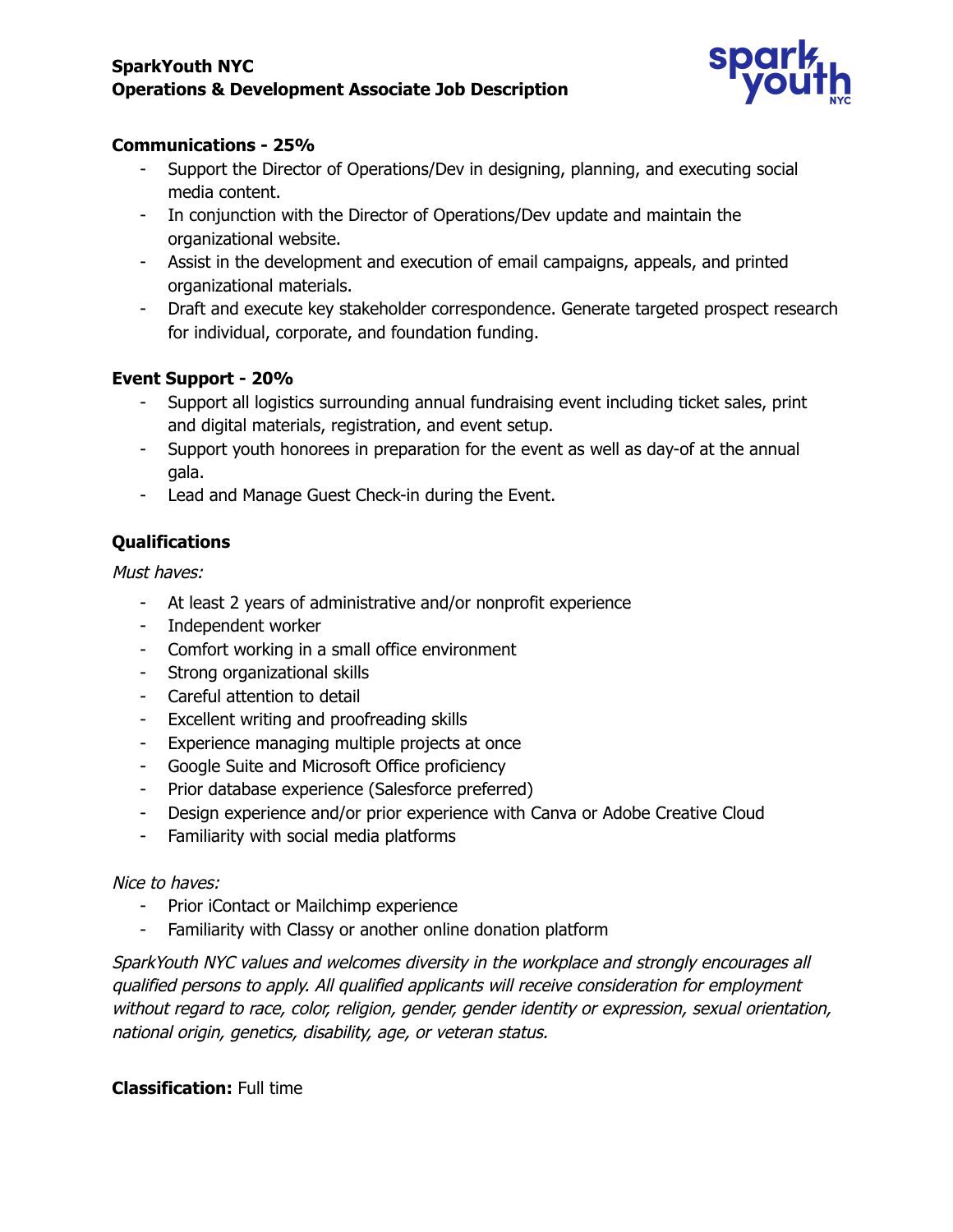## **SparkYouth NYC Operations & Development Associate Job Description**



## **Communications - 25%**

- Support the Director of Operations/Dev in designing, planning, and executing social media content.
- In conjunction with the Director of Operations/Dev update and maintain the organizational website.
- Assist in the development and execution of email campaigns, appeals, and printed organizational materials.
- Draft and execute key stakeholder correspondence. Generate targeted prospect research for individual, corporate, and foundation funding.

### **Event Support - 20%**

- Support all logistics surrounding annual fundraising event including ticket sales, print and digital materials, registration, and event setup.
- Support youth honorees in preparation for the event as well as day-of at the annual gala.
- Lead and Manage Guest Check-in during the Event.

# **Qualifications**

Must haves:

- At least 2 years of administrative and/or nonprofit experience
- Independent worker
- Comfort working in a small office environment
- Strong organizational skills
- Careful attention to detail
- Excellent writing and proofreading skills
- Experience managing multiple projects at once
- Google Suite and Microsoft Office proficiency
- Prior database experience (Salesforce preferred)
- Design experience and/or prior experience with Canva or Adobe Creative Cloud
- Familiarity with social media platforms

#### Nice to haves:

- Prior iContact or Mailchimp experience
- Familiarity with Classy or another online donation platform

SparkYouth NYC values and welcomes diversity in the workplace and strongly encourages all qualified persons to apply. All qualified applicants will receive consideration for employment without regard to race, color, religion, gender, gender identity or expression, sexual orientation, national origin, genetics, disability, age, or veteran status.

## **Classification:** Full time